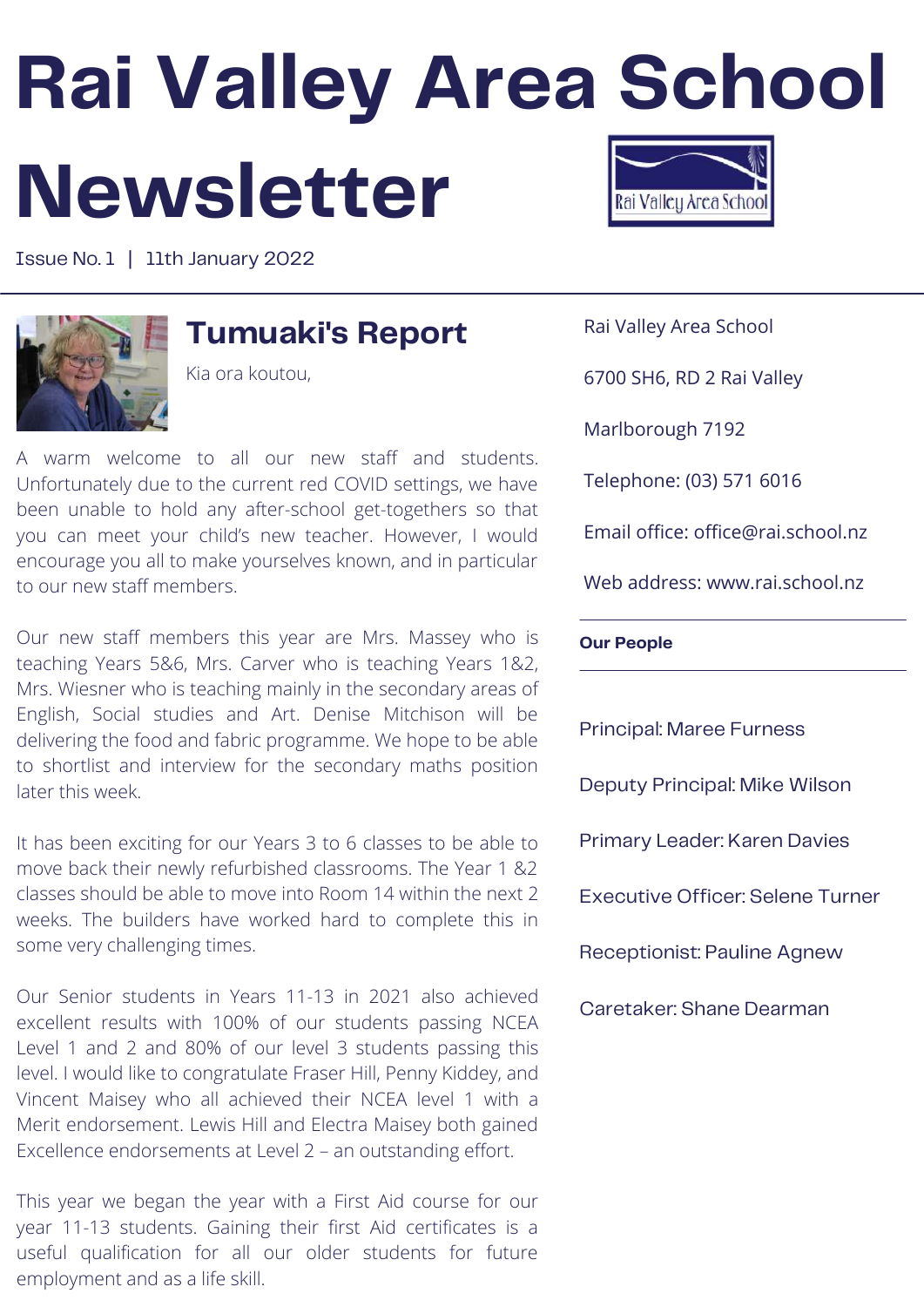# **Rai Valley Area School Newsletter**

Issue No. 1 | 11th January 2022



### **Tumuaki's Report**

Kia ora koutou,

A warm welcome to all our new staff and students. Unfortunately due to the current red COVID settings, we have been unable to hold any after-school get-togethers so that you can meet your child's new teacher. However, I would encourage you all to make yourselves known, and in particular to our new staff members.

Our new staff members this year are Mrs. Massey who is teaching Years 5&6, Mrs. Carver who is teaching Years 1&2, Mrs. Wiesner who is teaching mainly in the secondary areas of English, Social studies and Art. Denise Mitchison will be delivering the food and fabric programme. We hope to be able to shortlist and interview for the secondary maths position later this week.

It has been exciting for our Years 3 to 6 classes to be able to move back their newly refurbished classrooms. The Year 1 &2 classes should be able to move into Room 14 within the next 2 weeks. The builders have worked hard to complete this in some very challenging times.

Our Senior students in Years 11-13 in 2021 also achieved excellent results with 100% of our students passing NCEA Level 1 and 2 and 80% of our level 3 students passing this level. I would like to congratulate Fraser Hill, Penny Kiddey, and Vincent Maisey who all achieved their NCEA level 1 with a Merit endorsement. Lewis Hill and Electra Maisey both gained Excellence endorsements at Level 2 – an outstanding effort.

This year we began the year with a First Aid course for our year 11-13 students. Gaining their first Aid certificates is a useful qualification for all our older students for future employment and as a life skill.



Rai Valley Area School

6700 SH6, RD 2 Rai Valley

Marlborough 7192

Telephone: (03) 571 6016

Email office: office@rai.school.nz

Web address: www.rai.school.nz

#### **Our People**

Principal: Maree Furness Deputy Principal: Mike Wilson Primary Leader: Karen Davies Executive Officer: Selene Turner Receptionist: Pauline Agnew Caretaker: Shane Dearman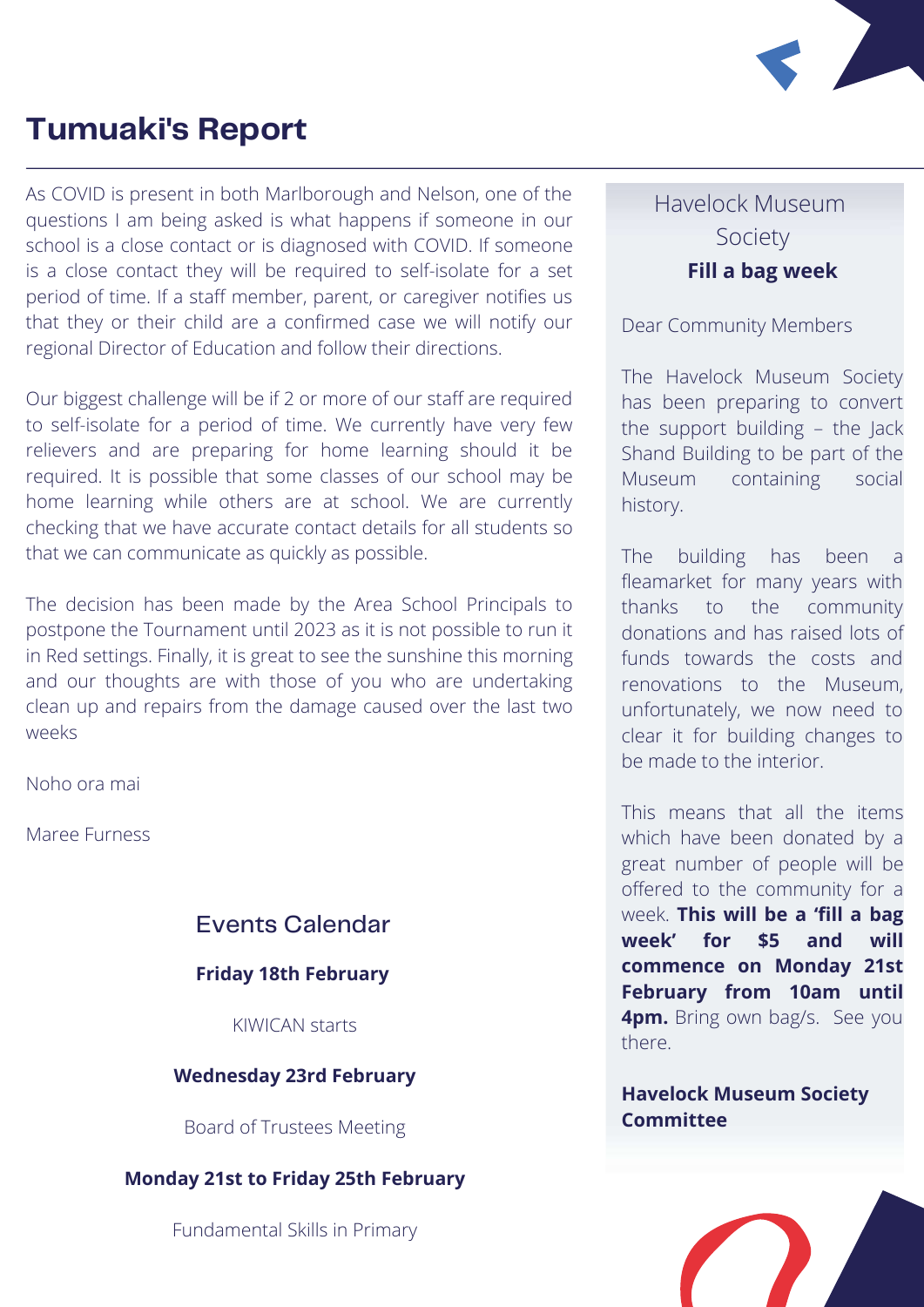

### **Tumuaki's Report**

As COVID is present in both Marlborough and Nelson, one of the questions I am being asked is what happens if someone in our school is a close contact or is diagnosed with COVID. If someone is a close contact they will be required to self-isolate for a set period of time. If a staff member, parent, or caregiver notifies us that they or their child are a confirmed case we will notify our regional Director of Education and follow their directions.

Our biggest challenge will be if 2 or more of our staff are required to self-isolate for a period of time. We currently have very few relievers and are preparing for home learning should it be required. It is possible that some classes of our school may be home learning while others are at school. We are currently checking that we have accurate contact details for all students so that we can communicate as quickly as possible.

The decision has been made by the Area School Principals to postpone the Tournament until 2023 as it is not possible to run it in Red settings. Finally, it is great to see the sunshine this morning and our thoughts are with those of you who are undertaking clean up and repairs from the damage caused over the last two weeks

Noho ora mai

Maree Furness

#### Events Calendar

#### **Friday 18th February**

KIWICAN starts

#### **Wednesday 23rd February**

Board of Trustees Meeting

#### **Monday 21st to Friday 25th February**

Fundamental Skills in Primary

#### **Fill a bag week** Havelock Museum Society

#### Dear Community Members

The Havelock Museum Society has been preparing to convert the support building – the Jack Shand Building to be part of the Museum containing social history.

The building has been a fleamarket for many years with thanks to the community donations and has raised lots of funds towards the costs and renovations to the Museum, unfortunately, we now need to clear it for building changes to be made to the interior.

This means that all the items which have been donated by a great number of people will be offered to the community for a week. **This will be a 'fill a bag week' for \$5 and will commence on Monday 21st February from 10am until 4pm.** Bring own bag/s. See you there.

**Havelock Museum Society Committee**

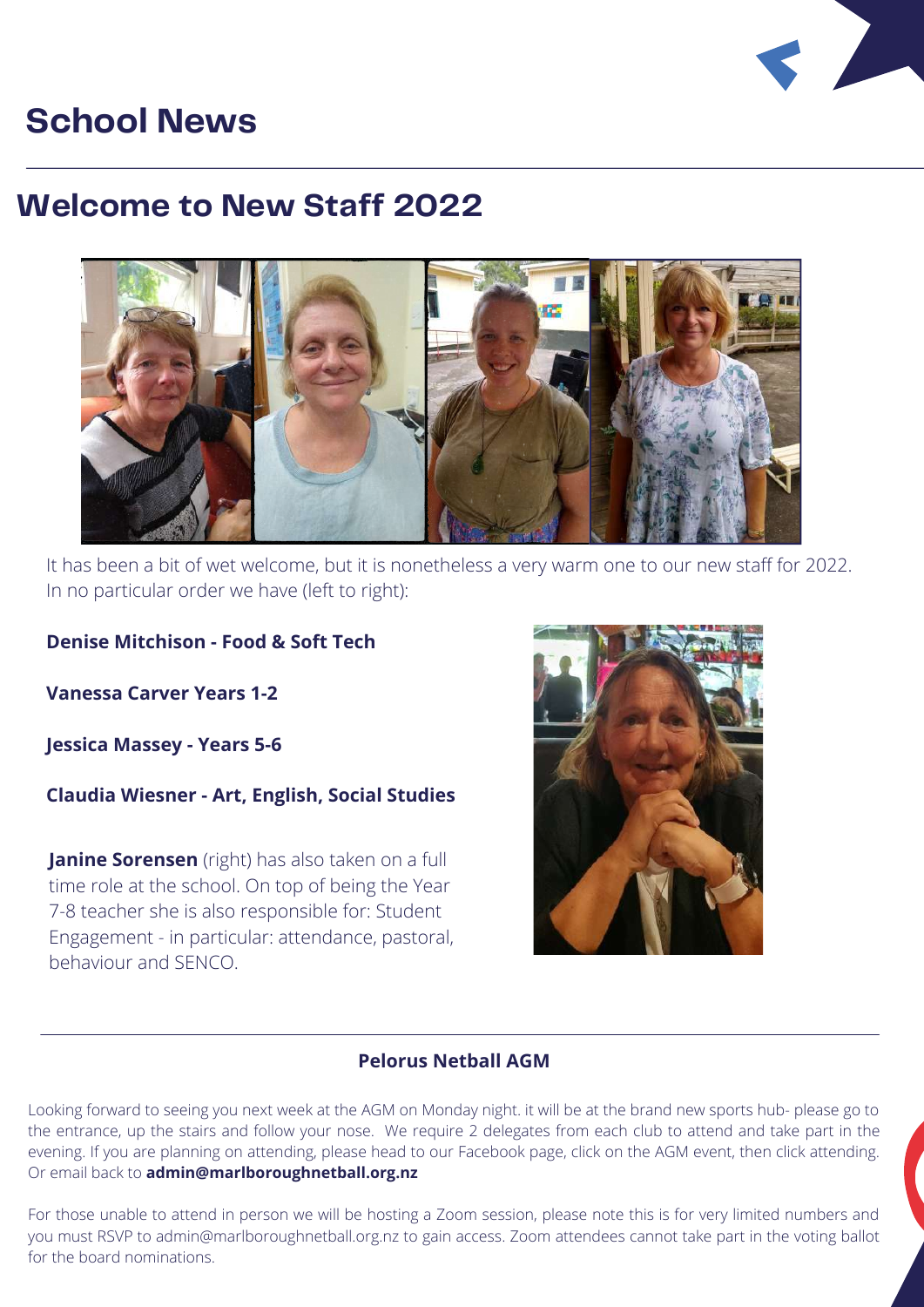

### **School News**

### **Welcome to New Staff 2022**



It has been a bit of wet welcome, but it is nonetheless a very warm one to our new staff for 2022. In no particular order we have (left to right):

#### **Denise Mitchison - Food & Soft Tech**

**Vanessa Carver Years 1-2**

**Jessica Massey - Years 5-6**

**Claudia Wiesner - Art, English, Social Studies**

**Janine Sorensen** (right) has also taken on a full time role at the school. On top of being the Year 7-8 teacher she is also responsible for: Student Engagement - in particular: attendance, pastoral, behaviour and SENCO.



#### **Pelorus Netball AGM**

Looking forward to seeing you next week at the AGM on Monday night. it will be at the brand new sports hub- please go to the entrance, up the stairs and follow your nose. We require 2 delegates from each club to attend and take part in the evening. If you are planning on attending, please head to our Facebook page, click on the AGM event, then click attending. Or email back to **[admin@marlboroughnetball.org.nz](mailto:admin@marlboroughnetball.org.nz)**

For those unable to attend in person we will be hosting a Zoom session, please note this is for very limited numbers and you must RSVP to [admin@marlboroughnetball.org.nz](mailto:admin@marlboroughnetball.org.nz) to gain access. Zoom attendees cannot take part in the voting ballot for the board nominations.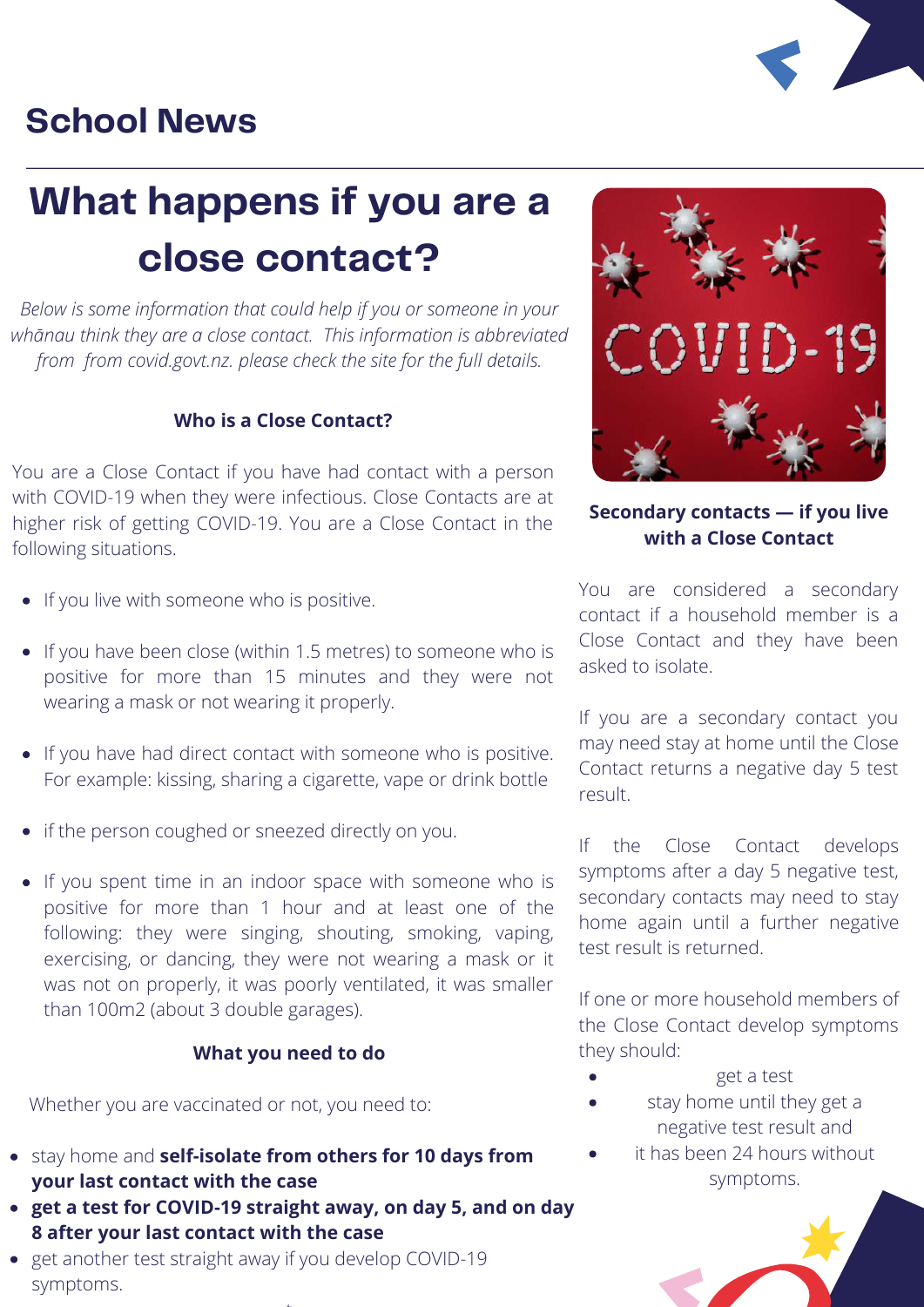### **School News**



*Below is some information that could help if you or someone in your whānau think they are a close contact. This information is abbreviated from from covid.govt.nz. please check the site for the full details.*

#### **Who is a Close Contact?**

You are a Close Contact if you have had contact with a person with COVID-19 when they were infectious. Close Contacts are at higher risk of getting COVID-19. You are a Close Contact in the following situations.

- If you live with someone who is positive.
- If you have been close (within 1.5 metres) to someone who is positive for more than 15 minutes and they were not wearing a mask or not wearing it properly.
- If you have had direct contact with someone who is positive. For example: kissing, sharing a cigarette, vape or drink bottle
- if the person coughed or sneezed directly on you.
- If you spent time in an indoor space with someone who is positive for more than 1 hour and at least one of the following: they were singing, shouting, smoking, vaping, exercising, or dancing, they were not wearing a mask or it was not on properly, it was poorly ventilated, it was smaller than 100m2 (about 3 double garages).

#### **What you need to do**

Whether you are vaccinated or not, you need to:

- stay home and **self-isolate from others for 10 days from your last contact with the case**
- **get a test for COVID-19 straight away, on day 5, and on day 8 after your last contact with the case**

t

• get another test straight away if you develop COVID-19 symptoms.



#### **Secondary contacts — if you live with a Close Contact**

You are considered a secondary contact if a household member is a Close Contact and they have been asked to isolate.

If you are a secondary contact you may need stay at home until the Close Contact returns a negative day 5 test result.

If the Close Contact develops symptoms after a day 5 negative test, secondary contacts may need to stay home again until a further negative test result is returned.

If one or more household members of the Close Contact develop symptoms they should:

- get a test
- stay home until they get a negative test result and
- it has been 24 hours without symptoms.

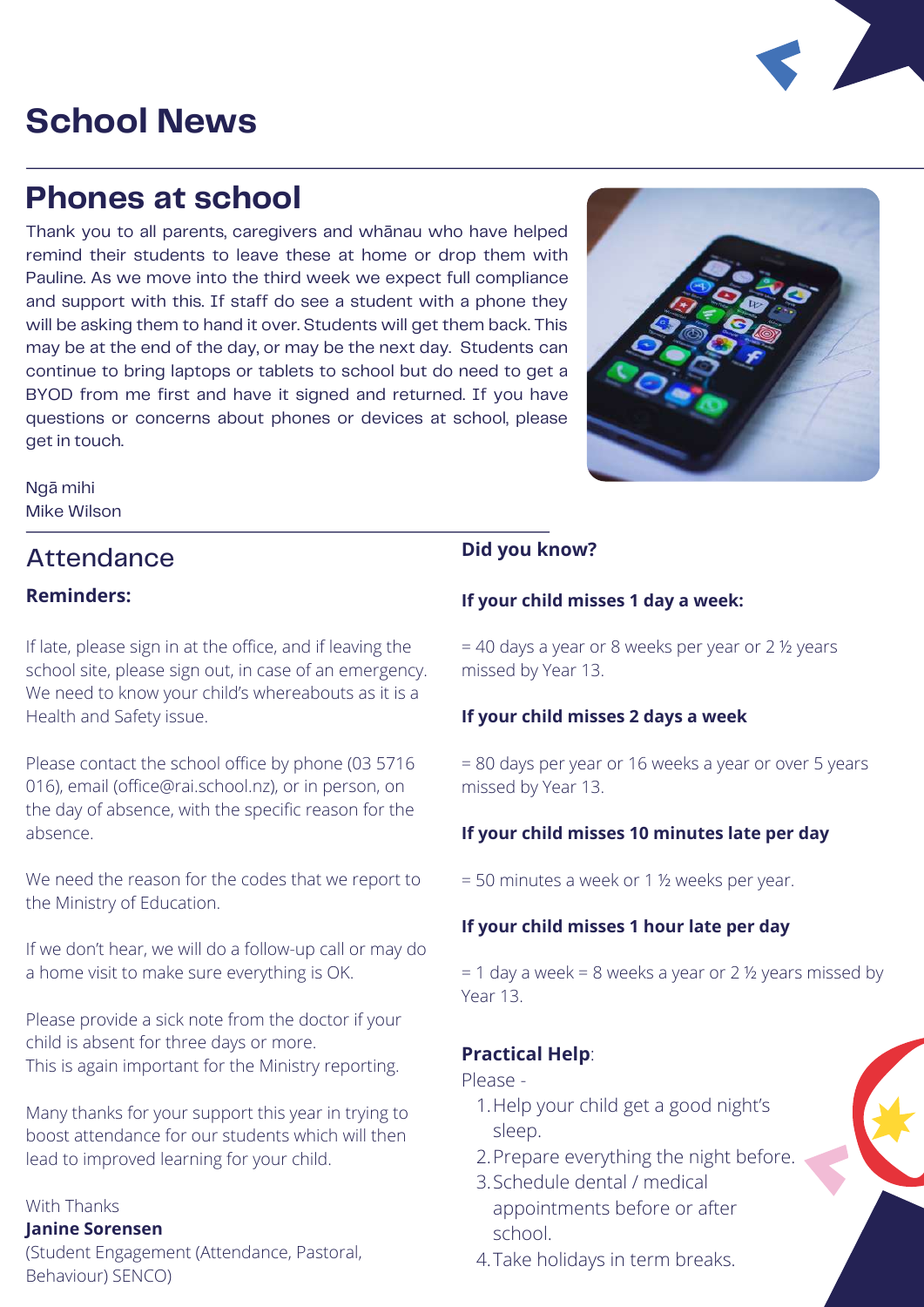### **School News**

### **Phones at school**

Thank you to all parents, caregivers and whānau who have helped remind their students to leave these at home or drop them with Pauline. As we move into the third week we expect full compliance and support with this. If staff do see a student with a phone they will be asking them to hand it over. Students will get them back. This may be at the end of the day, or may be the next day. Students can continue to bring laptops or tablets to school but do need to get a BYOD from me first and have it signed and returned. If you have questions or concerns about phones or devices at school, please get in touch.

Ngā mihi Mike Wilson

### Attendance

#### **Reminders:**

If late, please sign in at the office, and if leaving the school site, please sign out, in case of an emergency. We need to know your child's whereabouts as it is a Health and Safety issue.

Please contact the school office by phone (03 5716 016), email [\(office@rai.school.nz](mailto:office@rai.co.nz)), or in person, on the day of absence, with the specific reason for the absence.

We need the reason for the codes that we report to the Ministry of Education.

If we don't hear, we will do a follow-up call or may do a home visit to make sure everything is OK.

Please provide a sick note from the doctor if your child is absent for three days or more. This is again important for the Ministry reporting.

Many thanks for your support this year in trying to boost attendance for our students which will then lead to improved learning for your child.

#### With Thanks

#### **Janine Sorensen**

(Student Engagement (Attendance, Pastoral, Behaviour) SENCO)

#### **Did you know?**

#### **If your child misses 1 day a week:**

= 40 days a year or 8 weeks per year or 2 ½ years missed by Year 13.

#### **If your child misses 2 days a week**

= 80 days per year or 16 weeks a year or over 5 years missed by Year 13.

#### **If your child misses 10 minutes late per day**

= 50 minutes a week or 1 ½ weeks per year.

#### **If your child misses 1 hour late per day**

 $= 1$  day a week = 8 weeks a year or 2  $\frac{1}{2}$  years missed by Year 13.

#### **Practical Help**:

Please -

- 1. Help your child get a good night's sleep.
- 2. Prepare everything the night before.
- Schedule dental / medical 3. appointments before or after school.
- 4. Take holidays in term breaks.



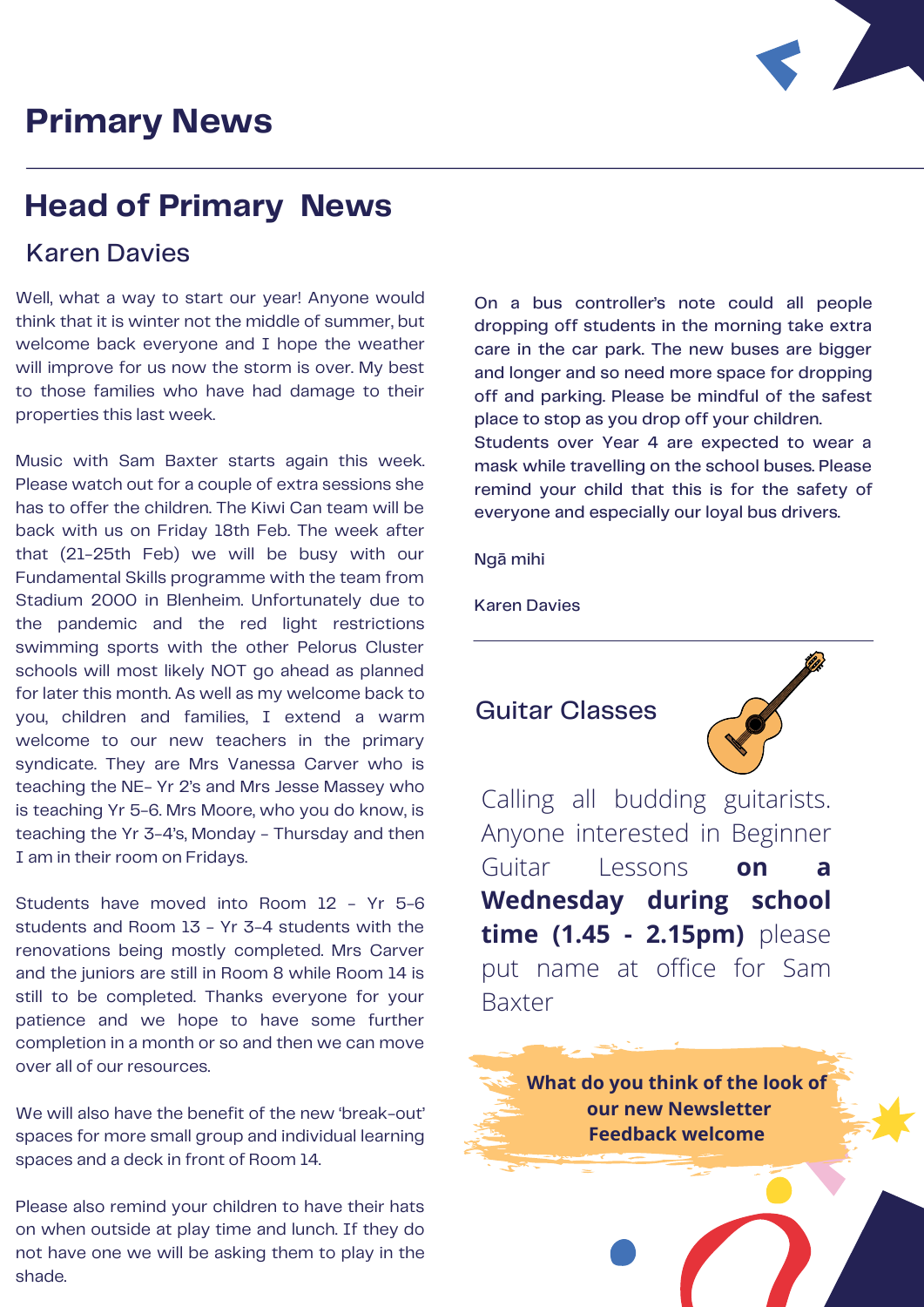### **Primary News**



### **Head of Primary News**

#### Karen Davies

Well, what a way to start our year! Anyone would think that it is winter not the middle of summer, but welcome back everyone and I hope the weather will improve for us now the storm is over. My best to those families who have had damage to their properties this last week.

Music with Sam Baxter starts again this week. Please watch out for a couple of extra sessions she has to offer the children. The Kiwi Can team will be back with us on Friday 18th Feb. The week after that (21-25th Feb) we will be busy with our Fundamental Skills programme with the team from Stadium 2000 in Blenheim. Unfortunately due to the pandemic and the red light restrictions swimming sports with the other Pelorus Cluster schools will most likely NOT go ahead as planned for later this month. As well as my welcome back to you, children and families, I extend a warm welcome to our new teachers in the primary syndicate. They are Mrs Vanessa Carver who is teaching the NE- Yr 2's and Mrs Jesse Massey who is teaching Yr 5-6. Mrs Moore, who you do know, is teaching the Yr 3-4's, Monday - Thursday and then I am in their room on Fridays.

Students have moved into Room 12 - Yr 5-6 students and Room 13 - Yr 3-4 students with the renovations being mostly completed. Mrs Carver and the juniors are still in Room 8 while Room 14 is still to be completed. Thanks everyone for your patience and we hope to have some further completion in a month or so and then we can move over all of our resources.

We will also have the benefit of the new 'break-out' spaces for more small group and individual learning spaces and a deck in front of Room 14.

Please also remind your children to have their hats on when outside at play time and lunch. If they do not have one we will be asking them to play in the shade.

On a bus controller's note could all people dropping off students in the morning take extra care in the car park. The new buses are bigger and longer and so need more space for dropping off and parking. Please be mindful of the safest place to stop as you drop off your children.

Students over Year 4 are expected to wear a mask while travelling on the school buses. Please remind your child that this is for the safety of everyone and especially our loyal bus drivers.

Ngā mihi

Karen Davies

#### Guitar Classes



Calling all budding guitarists. Anyone interested in Beginner Guitar Lessons **on a Wednesday during school time (1.45 - 2.15pm)** please put name at office for Sam Baxter

**What do you think of the look of our new Newsletter Feedback welcome**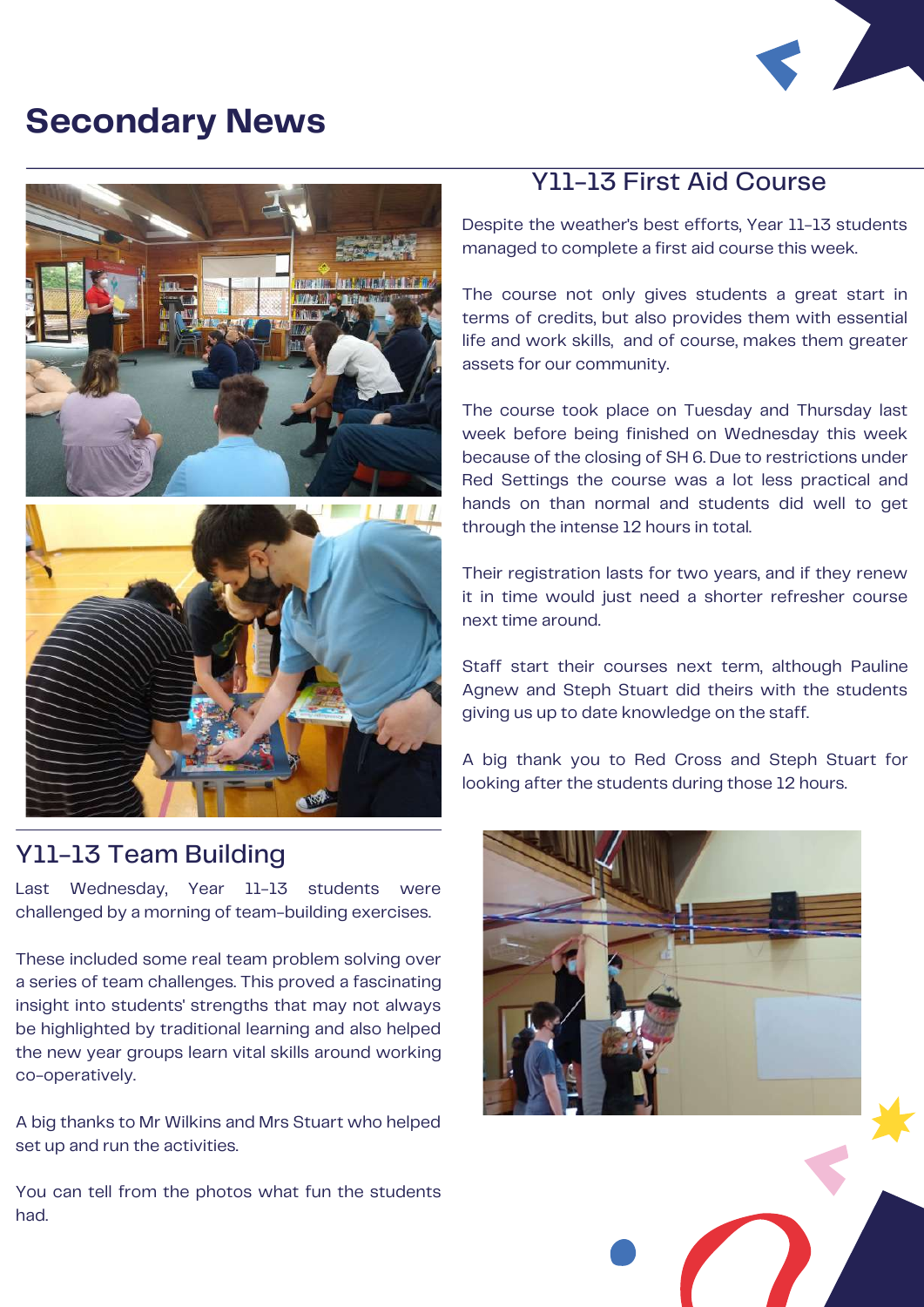### **Secondary News**







#### Y11-13 Team Building

Last Wednesday, Year 11-13 students were challenged by a morning of team-building exercises.

These included some real team problem solving over a series of team challenges. This proved a fascinating insight into students' strengths that may not always be highlighted by traditional learning and also helped the new year groups learn vital skills around working co-operatively.

A big thanks to Mr Wilkins and Mrs Stuart who helped set up and run the activities.

You can tell from the photos what fun the students had.

#### Y11-13 First Aid Course

Despite the weather's best efforts, Year 11-13 students managed to complete a first aid course this week.

The course not only gives students a great start in terms of credits, but also provides them with essential life and work skills, and of course, makes them greater assets for our community.

The course took place on Tuesday and Thursday last week before being finished on Wednesday this week because of the closing of SH 6. Due to restrictions under Red Settings the course was a lot less practical and hands on than normal and students did well to get through the intense 12 hours in total.

Their registration lasts for two years, and if they renew it in time would just need a shorter refresher course next time around.

Staff start their courses next term, although Pauline Agnew and Steph Stuart did theirs with the students giving us up to date knowledge on the staff.

A big thank you to Red Cross and Steph Stuart for looking after the students during those 12 hours.

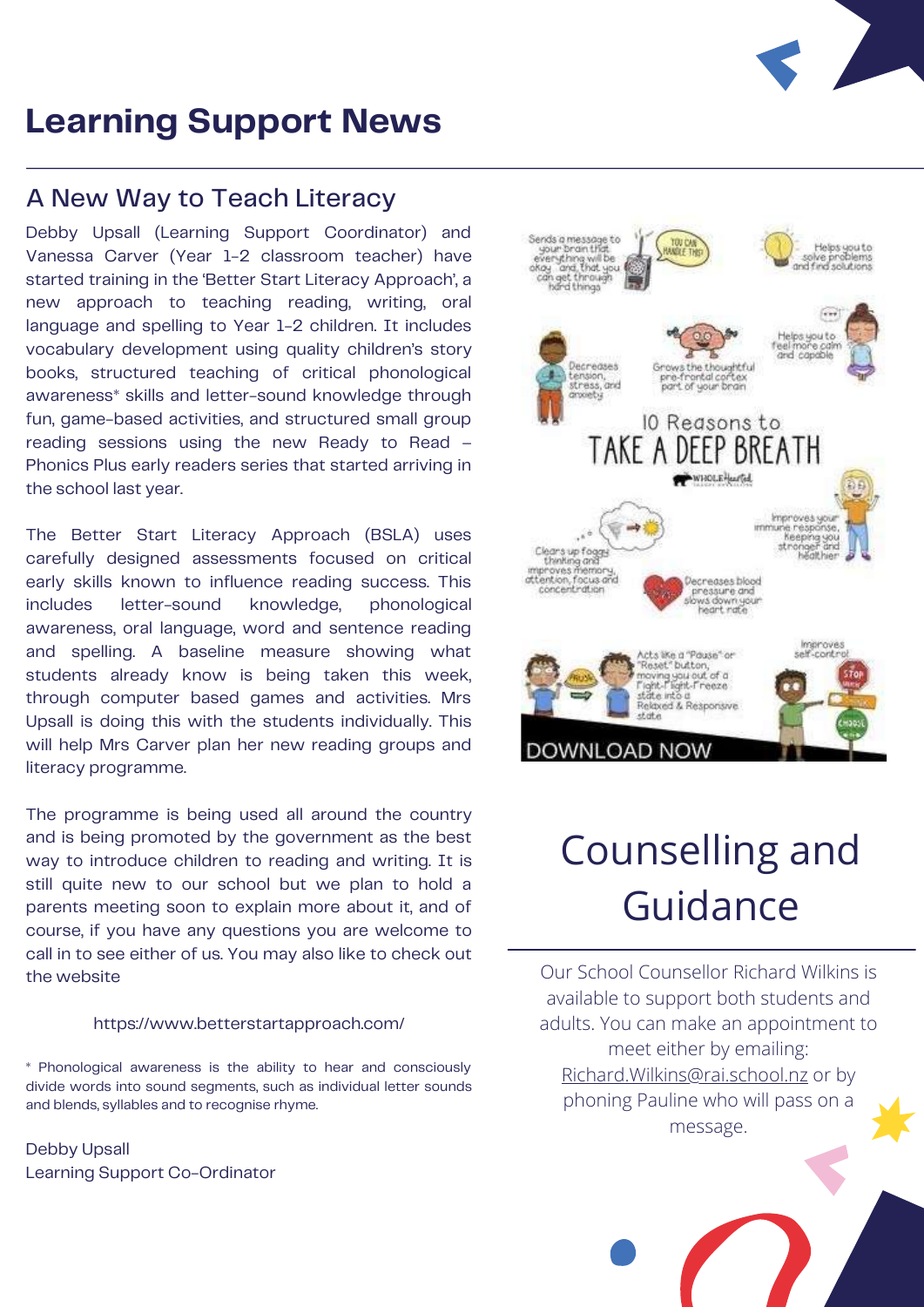

#### A New Way to Teach Literacy

Debby Upsall (Learning Support Coordinator) and Vanessa Carver (Year 1-2 classroom teacher) have started training in the 'Better Start Literacy Approach', a new approach to teaching reading, writing, oral language and spelling to Year 1-2 children. It includes vocabulary development using quality children's story books, structured teaching of critical phonological awareness\* skills and letter-sound knowledge through fun, game-based activities, and structured small group reading sessions using the new Ready to Read – Phonics Plus early readers series that started arriving in the school last year.

The Better Start Literacy Approach (BSLA) uses carefully designed assessments focused on critical early skills known to influence reading success. This includes letter-sound knowledge, phonological awareness, oral language, word and sentence reading and spelling. A baseline measure showing what students already know is being taken this week, through computer based games and activities. Mrs Upsall is doing this with the students individually. This will help Mrs Carver plan her new reading groups and literacy programme.

The programme is being used all around the country and is being promoted by the government as the best way to introduce children to reading and writing. It is still quite new to our school but we plan to hold a parents meeting soon to explain more about it, and of course, if you have any questions you are welcome to call in to see either of us. You may also like to check out the website

#### <https://www.betterstartapproach.com/>

\* Phonological awareness is the ability to hear and consciously divide words into sound segments, such as individual letter sounds and blends, syllables and to recognise rhyme.

Debby Upsall Learning Support Co-Ordinator



### Counselling and Guidance

Our School Counsellor Richard Wilkins is available to support both students and adults. You can make an appointment to meet either by emailing: [Richard.Wilkins@rai.school.nz](mailto:Richard.Wilkins@rai.school.nz) or by phoning Pauline who will pass on a message.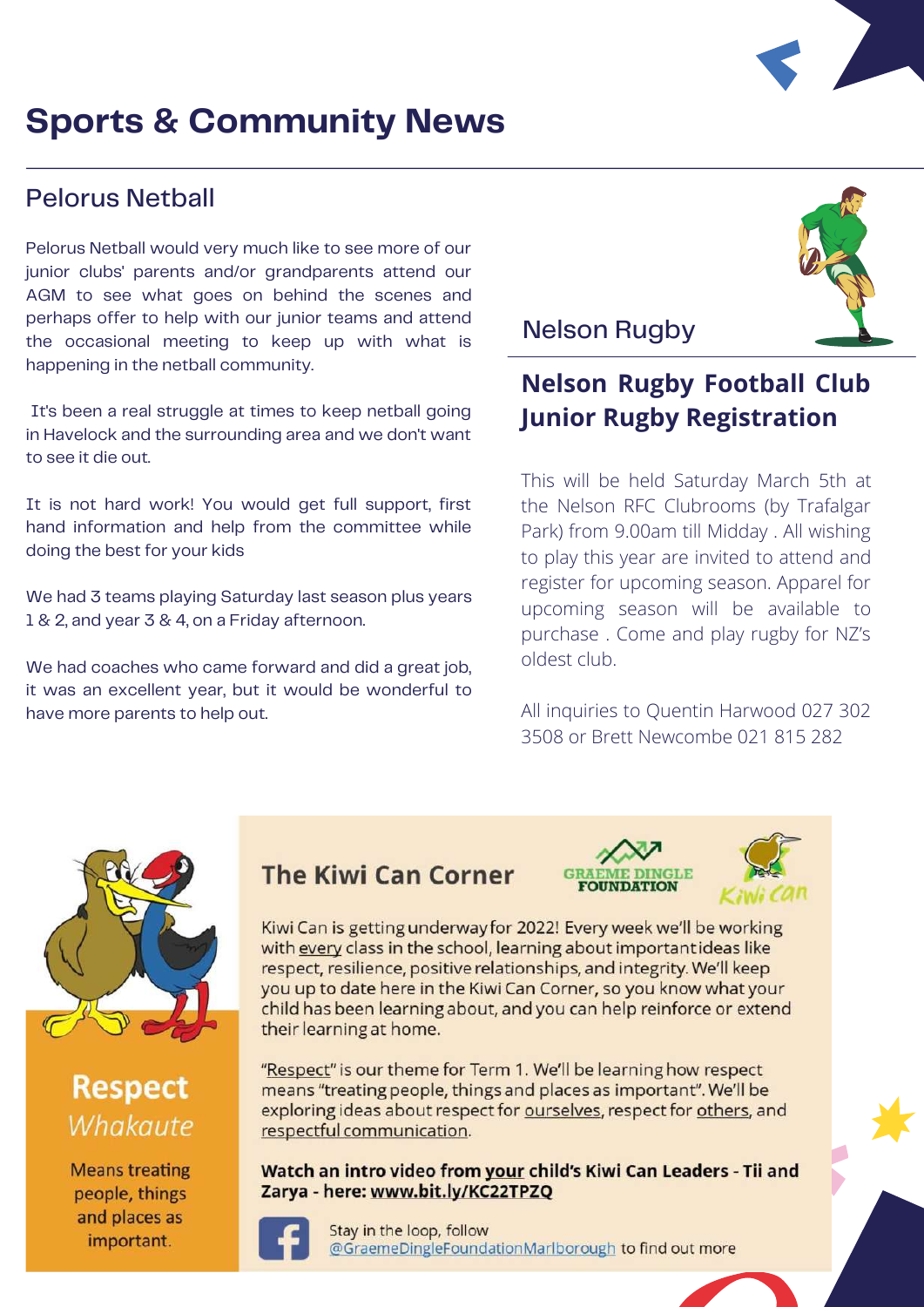### **Sports & Community News**

#### Pelorus Netball

Pelorus Netball would very much like to see more of our junior clubs' parents and/or grandparents attend our AGM to see what goes on behind the scenes and perhaps offer to help with our junior teams and attend the occasional meeting to keep up with what is happening in the netball community.

It's been a real struggle at times to keep netball going in Havelock and the surrounding area and we don't want to see it die out.

It is not hard work! You would get full support, first hand information and help from the committee while doing the best for your kids

We had 3 teams playing Saturday last season plus years 1 & 2, and year 3 & 4, on a Friday afternoon.

We had coaches who came forward and did a great job, it was an excellent year, but it would be wonderful to have more parents to help out.

#### Nelson Rugby

#### **Nelson Rugby Football Club Junior Rugby Registration**

This will be held Saturday March 5th at the Nelson RFC Clubrooms (by Trafalgar Park) from 9.00am till Midday . All wishing to play this year are invited to attend and register for upcoming season. Apparel for upcoming season will be available to purchase . Come and play rugby for NZ's oldest club.

All inquiries to Quentin Harwood 027 302 3508 or Brett Newcombe 021 815 282



**Respect** Whakaute

**Means treating** people, things and places as important.

#### **The Kiwi Can Corner**

Kiwi Can is getting underway for 2022! Every week we'll be working with every class in the school, learning about importantideas like respect, resilience, positive relationships, and integrity. We'll keep you up to date here in the Kiwi Can Corner, so you know what your child has been learning about, and you can help reinforce or extend their learning at home.

"Respect" is our theme for Term 1. We'll be learning how respect means "treating people, things and places as important". We'll be exploring ideas about respect for ourselves, respect for others, and respectful communication.

Watch an intro video from your child's Kiwi Can Leaders - Tii and Zarya - here: www.bit.ly/KC22TPZQ



Stay in the loop, follow @GraemeDingleFoundationMarlborough to find out more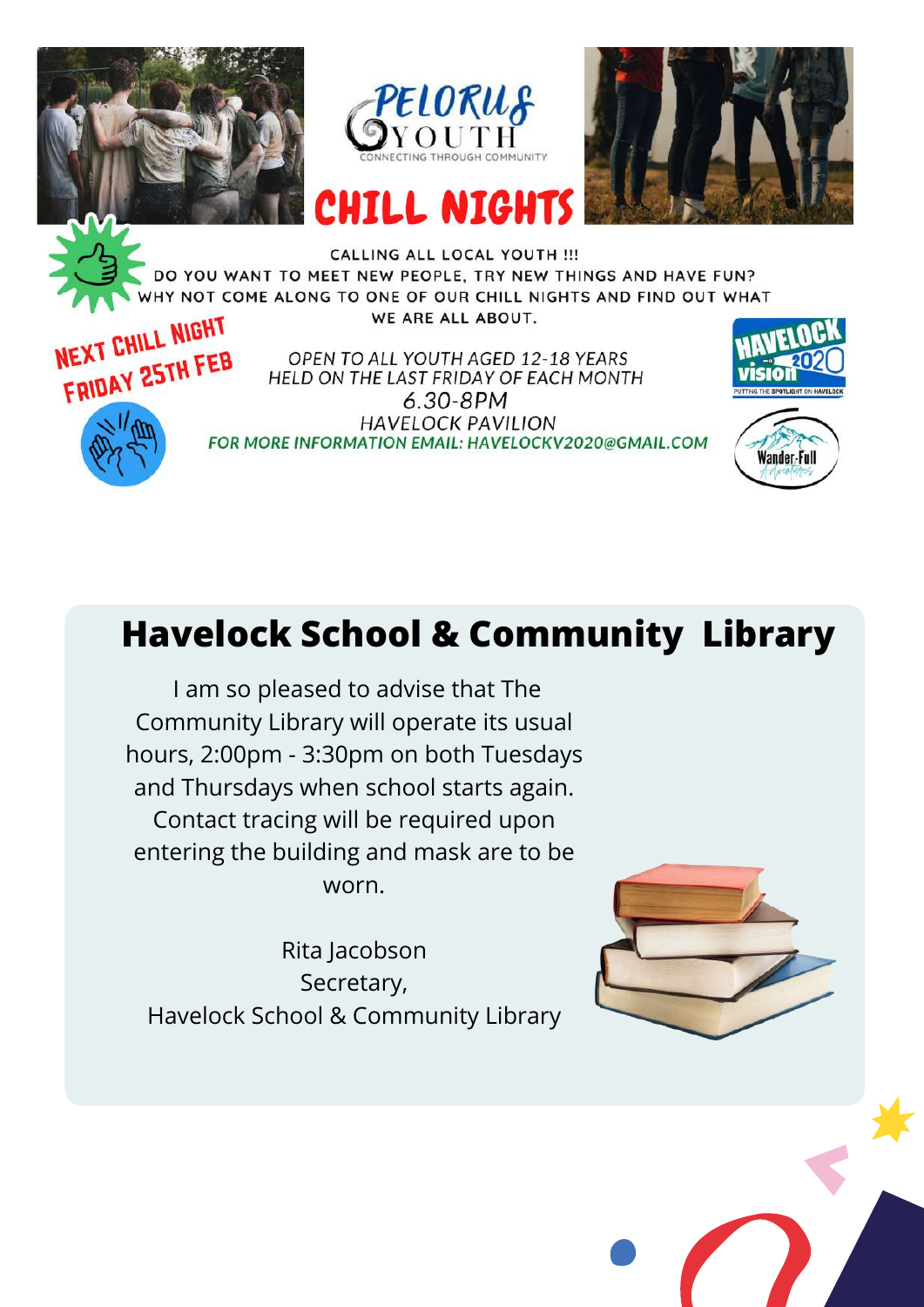





CALLING ALL LOCAL YOUTH !!! DO YOU WANT TO MEET NEW PEOPLE, TRY NEW THINGS AND HAVE FUN? HY NOT COME ALONG TO ONE OF OUR CHILL NIGHTS AND FIND OUT WHAT WE ARE ALL ABOUT.



OPEN TO ALL YOUTH AGED 12-18 YEARS HELD ON THE LAST FRIDAY OF EACH MONTH  $6.30 - 8PM$ **HAVELOCK PAVILION** FOR MORE INFORMATION EMAIL: HAVELOCKV2020@GMAIL.COM



**Wander-Full** 



### **Havelock School & Community Library**

I am so pleased to advise that The Community Library will operate its usual hours, 2:00pm - 3:30pm on both Tuesdays and Thursdays when school starts again. Contact tracing will be required upon entering the building and mask are to be worn.

Rita Jacobson Secretary, Havelock School & Community Library



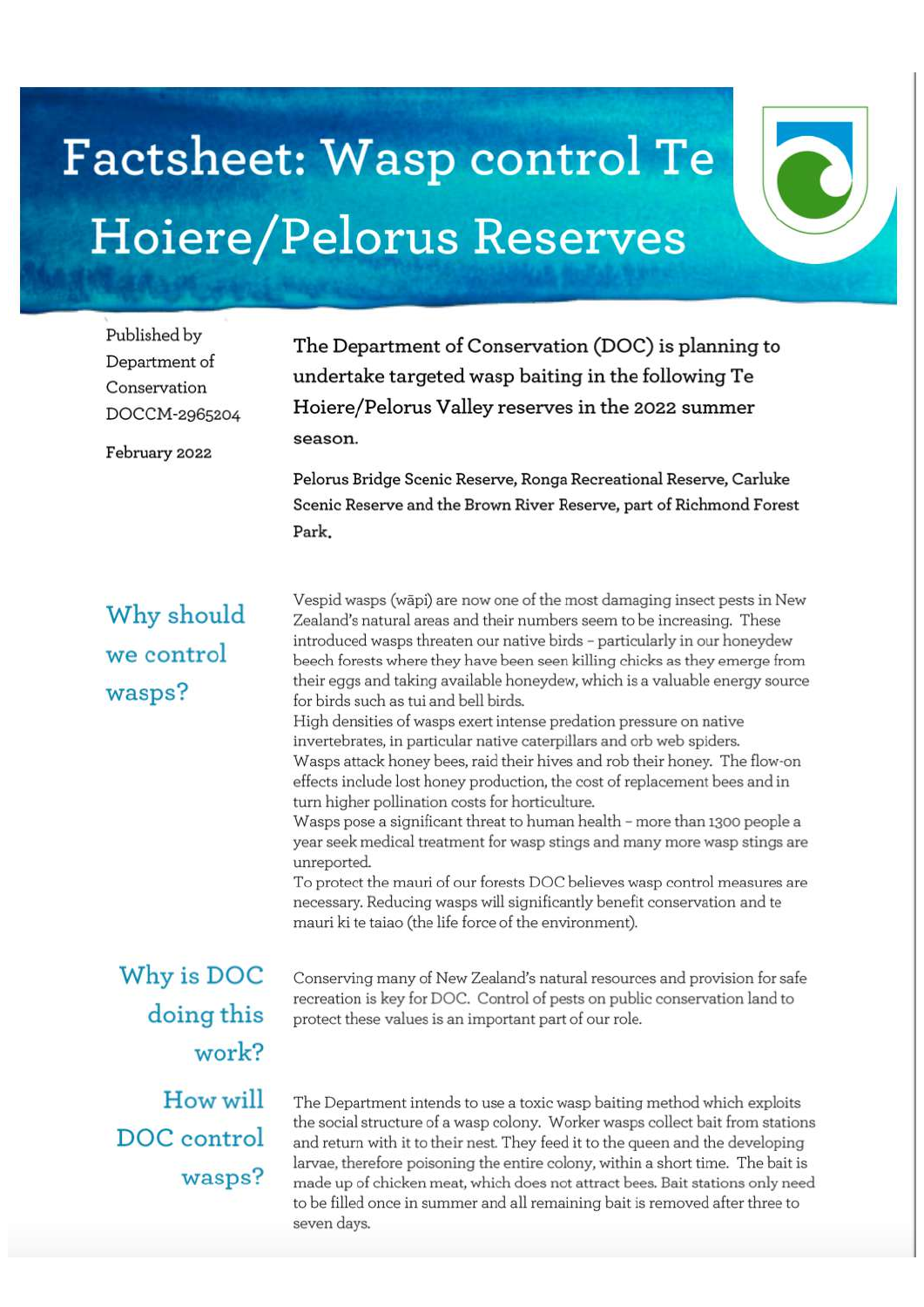## Factsheet: Wasp control Te Hoiere/Pelorus Reserves

Published by Department of Conservation DOCCM-2965204

February 2022

The Department of Conservation (DOC) is planning to undertake targeted wasp baiting in the following Te Hoiere/Pelorus Valley reserves in the 2022 summer season.

Pelorus Bridge Scenic Reserve, Ronga Recreational Reserve, Carluke Scenic Reserve and the Brown River Reserve, part of Richmond Forest Park.

Why should we control wasps?

Vespid wasps (wāpi) are now one of the most damaging insect pests in New Zealand's natural areas and their numbers seem to be increasing. These introduced wasps threaten our native birds - particularly in our honeydew beech forests where they have been seen killing chicks as they emerge from their eggs and taking available honeydew, which is a valuable energy source for birds such as tui and bell birds.

High densities of wasps exert intense predation pressure on native invertebrates, in particular native caterpillars and orb web spiders. Wasps attack honey bees, raid their hives and rob their honey. The flow-on effects include lost honey production, the cost of replacement bees and in turn higher pollination costs for horticulture.

Wasps pose a significant threat to human health - more than 1300 people a year seek medical treatment for wasp stings and many more wasp stings are unreported.

To protect the mauri of our forests DOC believes wasp control measures are necessary. Reducing wasps will significantly benefit conservation and te mauri ki te taiao (the life force of the environment).

Why is DOC doing this work? How will DOC control wasps?

Conserving many of New Zealand's natural resources and provision for safe recreation is key for DOC. Control of pests on public conservation land to protect these values is an important part of our role.

The Department intends to use a toxic wasp baiting method which exploits the social structure of a wasp colony. Worker wasps collect bait from stations and return with it to their nest. They feed it to the queen and the developing larvae, therefore poisoning the entire colony, within a short time. The bait is made up of chicken meat, which does not attract bees. Bait stations only need to be filled once in summer and all remaining bait is removed after three to seven days.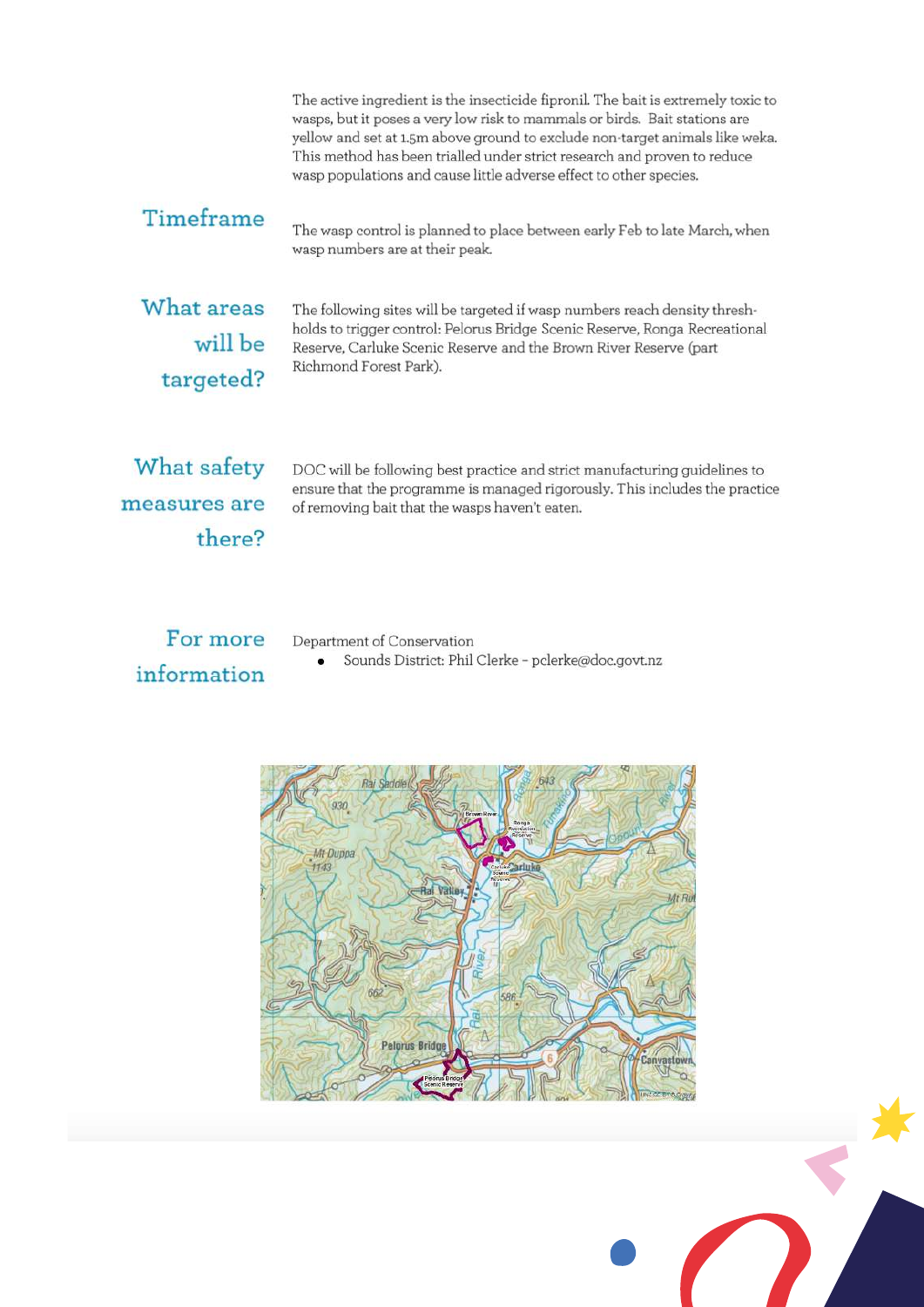The active ingredient is the insecticide fipronil. The bait is extremely toxic to wasps, but it poses a very low risk to mammals or birds. Bait stations are yellow and set at 1.5m above ground to exclude non-target animals like weka. This method has been trialled under strict research and proven to reduce wasp populations and cause little adverse effect to other species.

#### Timeframe

The wasp control is planned to place between early Feb to late March, when wasp numbers are at their peak.

What areas will be targeted?

The following sites will be targeted if wasp numbers reach density threshholds to trigger control: Pelorus Bridge Scenic Reserve, Ronga Recreational Reserve, Carluke Scenic Reserve and the Brown River Reserve (part Richmond Forest Park).

What safety measures are there?

DOC will be following best practice and strict manufacturing guidelines to ensure that the programme is managed rigorously. This includes the practice of removing bait that the wasps haven't eaten.

For more information

Department of Conservation

Sounds District: Phil Clerke - pclerke@doc.govt.nz